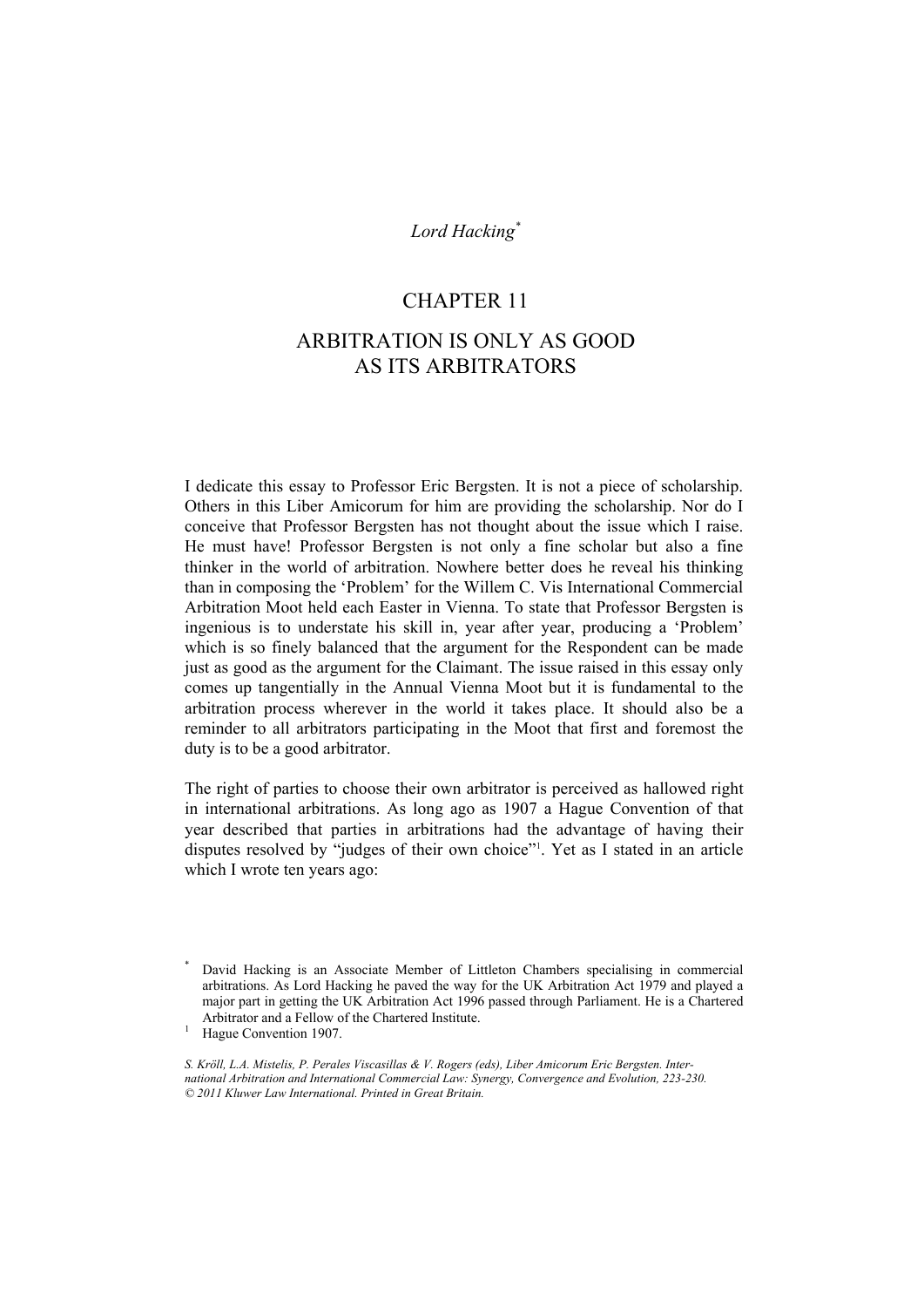## *Lord Hacking\**

### CHAPTER 11

# ARBITRATION IS ONLY AS GOOD AS ITS ARBITRATORS

I dedicate this essay to Professor Eric Bergsten. It is not a piece of scholarship. Others in this Liber Amicorum for him are providing the scholarship. Nor do I conceive that Professor Bergsten has not thought about the issue which I raise. He must have! Professor Bergsten is not only a fine scholar but also a fine thinker in the world of arbitration. Nowhere better does he reveal his thinking than in composing the 'Problem' for the Willem C. Vis International Commercial Arbitration Moot held each Easter in Vienna. To state that Professor Bergsten is ingenious is to understate his skill in, year after year, producing a 'Problem' which is so finely balanced that the argument for the Respondent can be made just as good as the argument for the Claimant. The issue raised in this essay only comes up tangentially in the Annual Vienna Moot but it is fundamental to the arbitration process wherever in the world it takes place. It should also be a reminder to all arbitrators participating in the Moot that first and foremost the duty is to be a good arbitrator.

The right of parties to choose their own arbitrator is perceived as hallowed right in international arbitrations. As long ago as 1907 a Hague Convention of that year described that parties in arbitrations had the advantage of having their disputes resolved by "judges of their own choice"1 . Yet as I stated in an article which I wrote ten years ago:

<sup>1</sup> Hague Convention 1907.

*S. Kröll, L.A. Mistelis, P. Perales Viscasillas & V. Rogers (eds), Liber Amicorum Eric Bergsten. International Arbitration and International Commercial Law: Synergy, Convergence and Evolution, 223-230. © 2011 Kluwer Law International. Printed in Great Britain.* 

<sup>\*</sup> David Hacking is an Associate Member of Littleton Chambers specialising in commercial arbitrations. As Lord Hacking he paved the way for the UK Arbitration Act 1979 and played a major part in getting the UK Arbitration Act 1996 passed through Parliament. He is a Chartered Arbitrator and a Fellow of the Chartered Institute.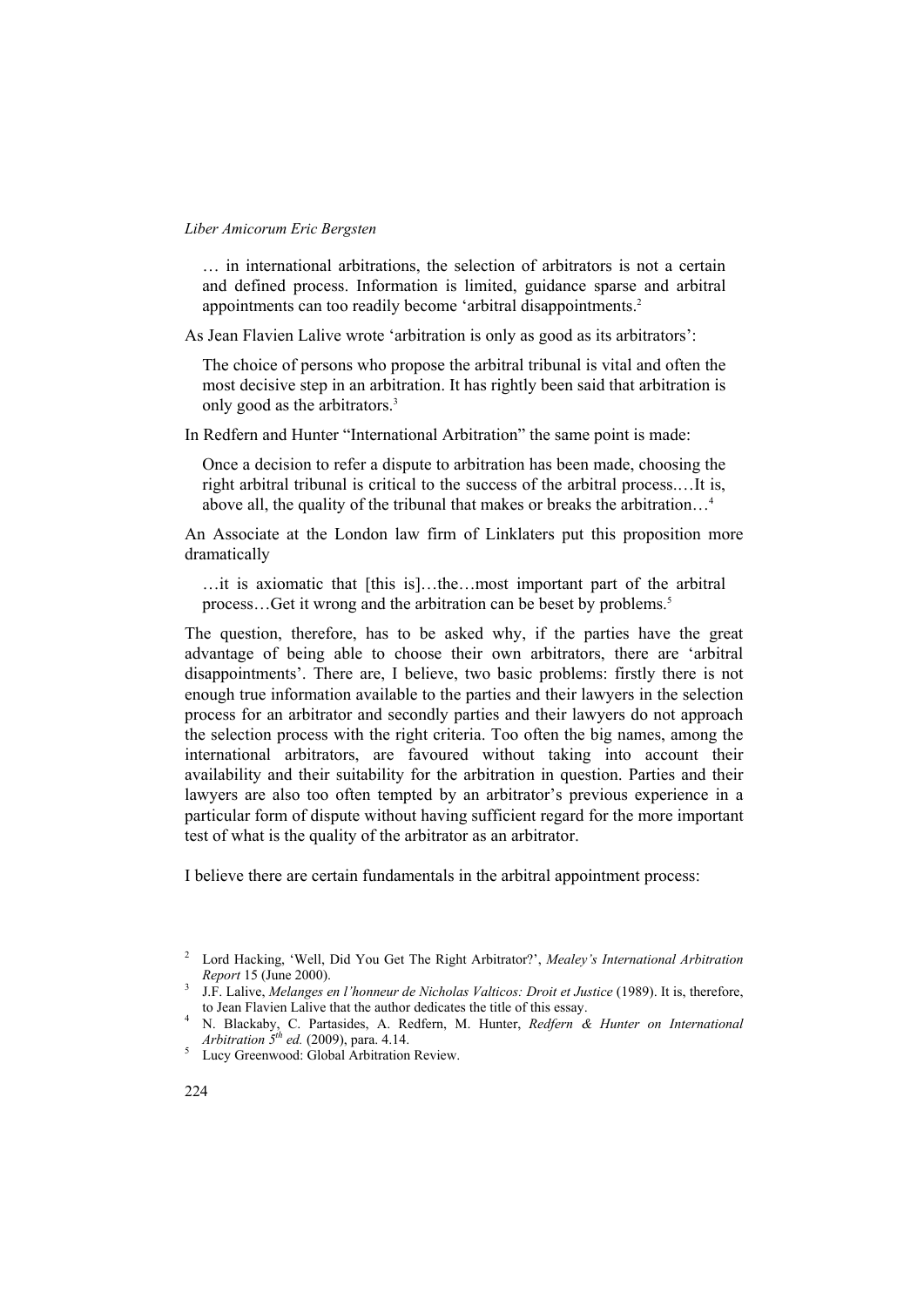… in international arbitrations, the selection of arbitrators is not a certain and defined process. Information is limited, guidance sparse and arbitral appointments can too readily become 'arbitral disappointments.2

As Jean Flavien Lalive wrote 'arbitration is only as good as its arbitrators':

The choice of persons who propose the arbitral tribunal is vital and often the most decisive step in an arbitration. It has rightly been said that arbitration is only good as the arbitrators.3

In Redfern and Hunter "International Arbitration" the same point is made:

Once a decision to refer a dispute to arbitration has been made, choosing the right arbitral tribunal is critical to the success of the arbitral process.…It is, above all, the quality of the tribunal that makes or breaks the arbitration…4

An Associate at the London law firm of Linklaters put this proposition more dramatically

…it is axiomatic that [this is]…the…most important part of the arbitral process...Get it wrong and the arbitration can be beset by problems.<sup>5</sup>

The question, therefore, has to be asked why, if the parties have the great advantage of being able to choose their own arbitrators, there are 'arbitral disappointments'. There are, I believe, two basic problems: firstly there is not enough true information available to the parties and their lawyers in the selection process for an arbitrator and secondly parties and their lawyers do not approach the selection process with the right criteria. Too often the big names, among the international arbitrators, are favoured without taking into account their availability and their suitability for the arbitration in question. Parties and their lawyers are also too often tempted by an arbitrator's previous experience in a particular form of dispute without having sufficient regard for the more important test of what is the quality of the arbitrator as an arbitrator.

I believe there are certain fundamentals in the arbitral appointment process:

<sup>2</sup> Lord Hacking, 'Well, Did You Get The Right Arbitrator?', *Mealey's International Arbitration Report* 15 (June 2000). 3 J.F. Lalive, *Melanges en l'honneur de Nicholas Valticos: Droit et Justice* (1989). It is, therefore,

to Jean Flavien Lalive that the author dedicates the title of this essay. 4

N. Blackaby, C. Partasides, A. Redfern, M. Hunter, *Redfern & Hunter on International Arbitration*  $5^{th}$  *ed.* (2009), para. 4.14.

<sup>&</sup>lt;sup>5</sup> Lucy Greenwood: Global Arbitration Review.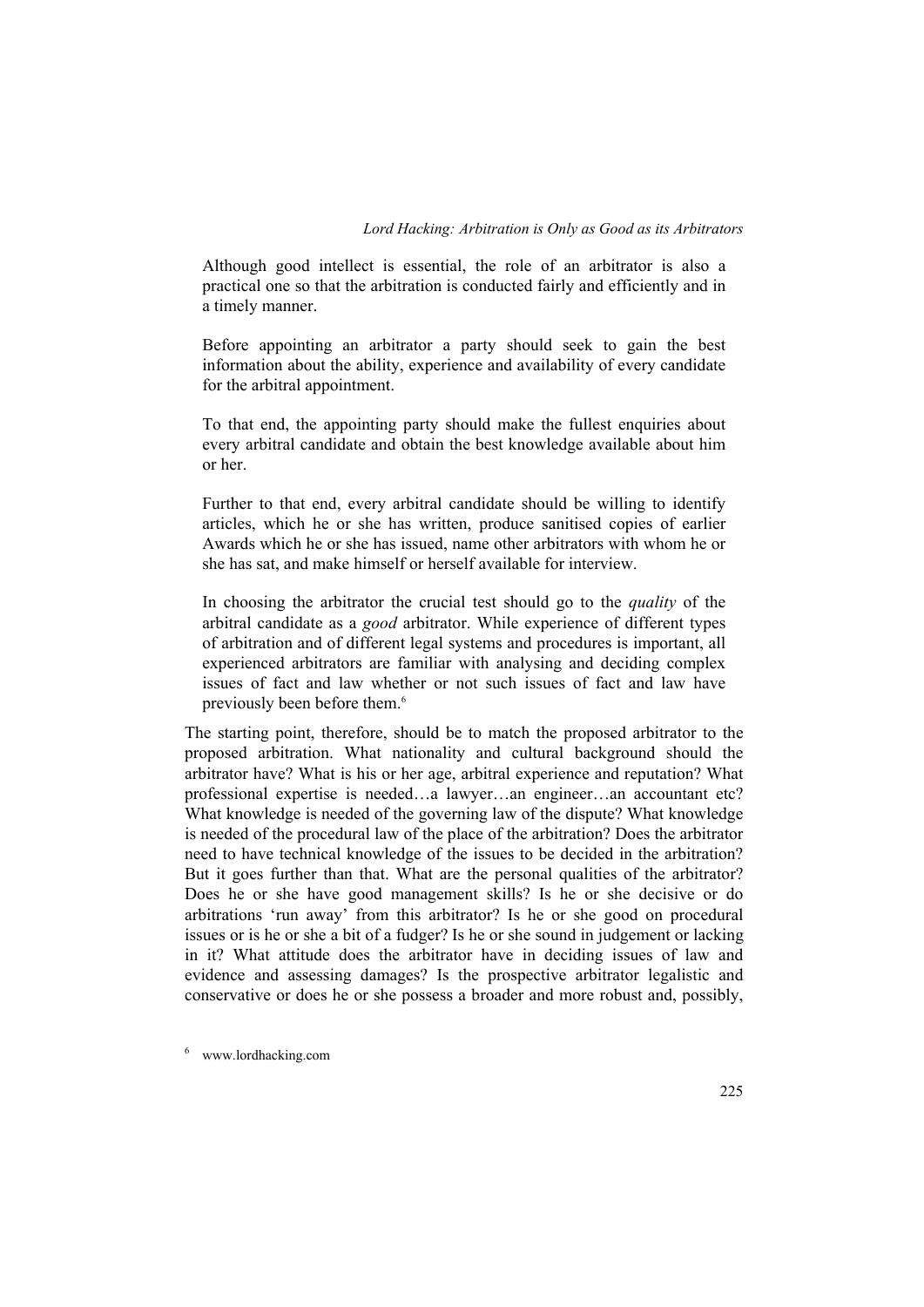Although good intellect is essential, the role of an arbitrator is also a practical one so that the arbitration is conducted fairly and efficiently and in a timely manner.

Before appointing an arbitrator a party should seek to gain the best information about the ability, experience and availability of every candidate for the arbitral appointment.

To that end, the appointing party should make the fullest enquiries about every arbitral candidate and obtain the best knowledge available about him or her.

Further to that end, every arbitral candidate should be willing to identify articles, which he or she has written, produce sanitised copies of earlier Awards which he or she has issued, name other arbitrators with whom he or she has sat, and make himself or herself available for interview.

In choosing the arbitrator the crucial test should go to the *quality* of the arbitral candidate as a *good* arbitrator. While experience of different types of arbitration and of different legal systems and procedures is important, all experienced arbitrators are familiar with analysing and deciding complex issues of fact and law whether or not such issues of fact and law have previously been before them.<sup>6</sup>

The starting point, therefore, should be to match the proposed arbitrator to the proposed arbitration. What nationality and cultural background should the arbitrator have? What is his or her age, arbitral experience and reputation? What professional expertise is needed…a lawyer…an engineer…an accountant etc? What knowledge is needed of the governing law of the dispute? What knowledge is needed of the procedural law of the place of the arbitration? Does the arbitrator need to have technical knowledge of the issues to be decided in the arbitration? But it goes further than that. What are the personal qualities of the arbitrator? Does he or she have good management skills? Is he or she decisive or do arbitrations 'run away' from this arbitrator? Is he or she good on procedural issues or is he or she a bit of a fudger? Is he or she sound in judgement or lacking in it? What attitude does the arbitrator have in deciding issues of law and evidence and assessing damages? Is the prospective arbitrator legalistic and conservative or does he or she possess a broader and more robust and, possibly,

6 www.lordhacking.com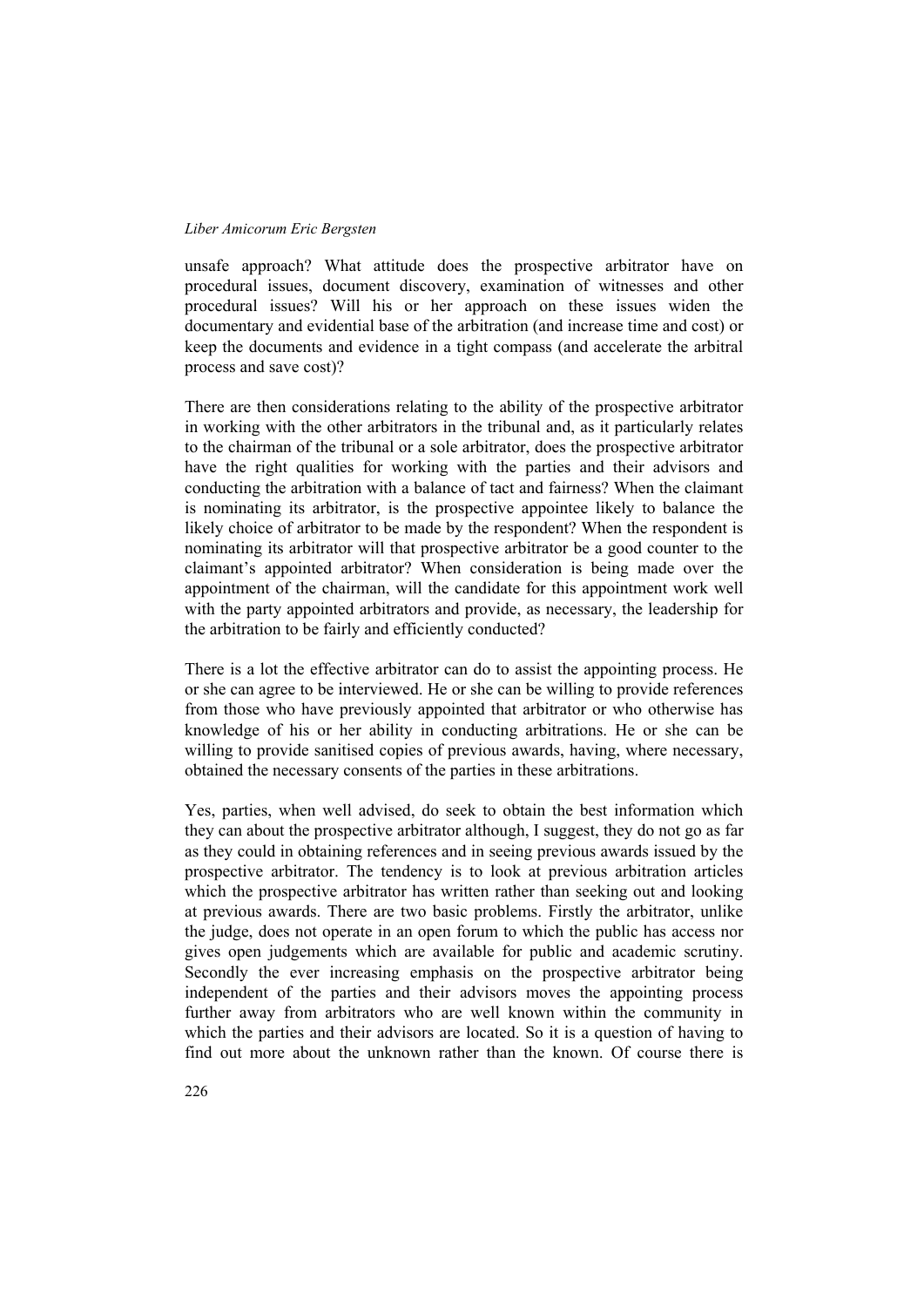unsafe approach? What attitude does the prospective arbitrator have on procedural issues, document discovery, examination of witnesses and other procedural issues? Will his or her approach on these issues widen the documentary and evidential base of the arbitration (and increase time and cost) or keep the documents and evidence in a tight compass (and accelerate the arbitral process and save cost)?

There are then considerations relating to the ability of the prospective arbitrator in working with the other arbitrators in the tribunal and, as it particularly relates to the chairman of the tribunal or a sole arbitrator, does the prospective arbitrator have the right qualities for working with the parties and their advisors and conducting the arbitration with a balance of tact and fairness? When the claimant is nominating its arbitrator, is the prospective appointee likely to balance the likely choice of arbitrator to be made by the respondent? When the respondent is nominating its arbitrator will that prospective arbitrator be a good counter to the claimant's appointed arbitrator? When consideration is being made over the appointment of the chairman, will the candidate for this appointment work well with the party appointed arbitrators and provide, as necessary, the leadership for the arbitration to be fairly and efficiently conducted?

There is a lot the effective arbitrator can do to assist the appointing process. He or she can agree to be interviewed. He or she can be willing to provide references from those who have previously appointed that arbitrator or who otherwise has knowledge of his or her ability in conducting arbitrations. He or she can be willing to provide sanitised copies of previous awards, having, where necessary, obtained the necessary consents of the parties in these arbitrations.

Yes, parties, when well advised, do seek to obtain the best information which they can about the prospective arbitrator although, I suggest, they do not go as far as they could in obtaining references and in seeing previous awards issued by the prospective arbitrator. The tendency is to look at previous arbitration articles which the prospective arbitrator has written rather than seeking out and looking at previous awards. There are two basic problems. Firstly the arbitrator, unlike the judge, does not operate in an open forum to which the public has access nor gives open judgements which are available for public and academic scrutiny. Secondly the ever increasing emphasis on the prospective arbitrator being independent of the parties and their advisors moves the appointing process further away from arbitrators who are well known within the community in which the parties and their advisors are located. So it is a question of having to find out more about the unknown rather than the known. Of course there is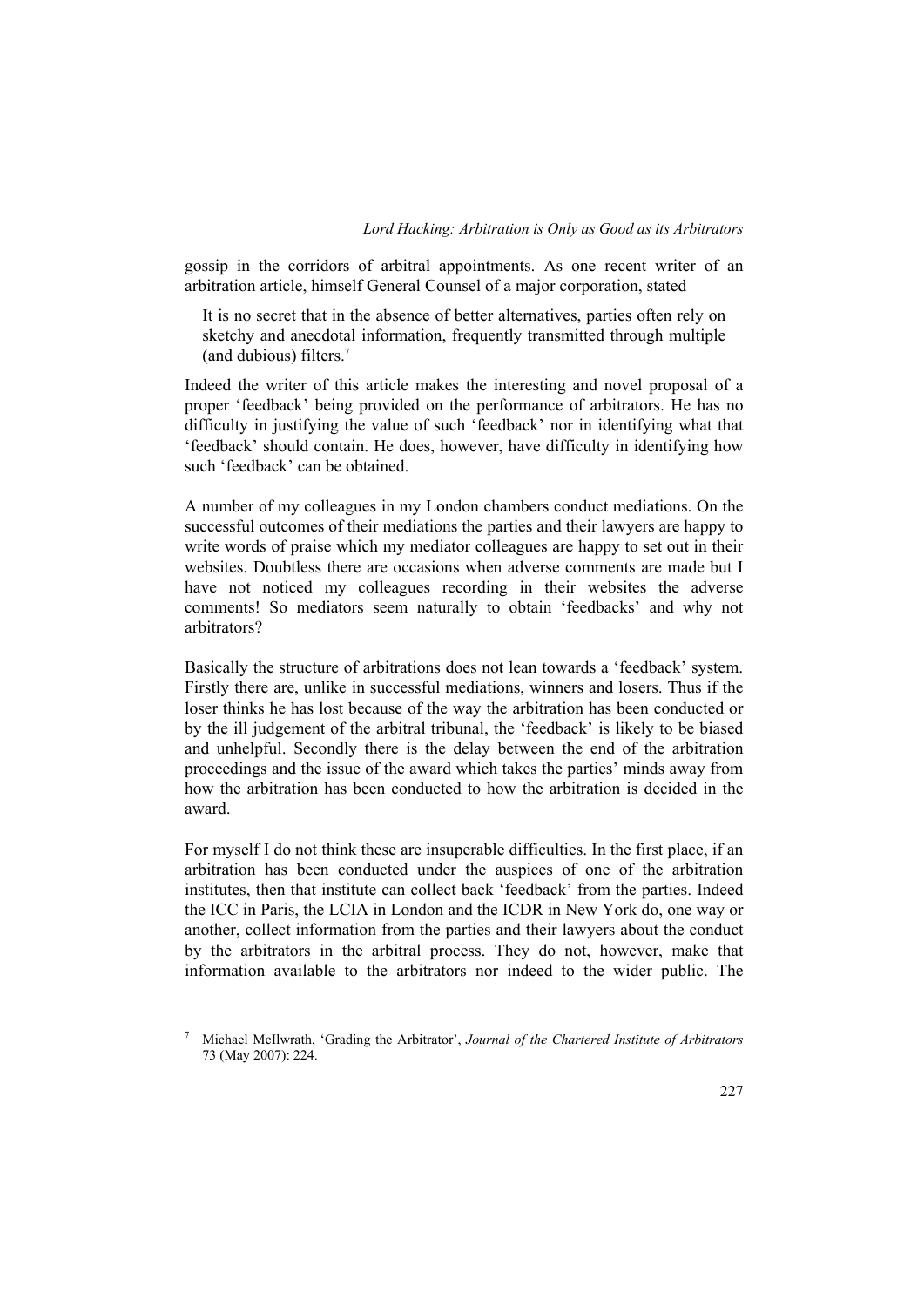gossip in the corridors of arbitral appointments. As one recent writer of an arbitration article, himself General Counsel of a major corporation, stated

It is no secret that in the absence of better alternatives, parties often rely on sketchy and anecdotal information, frequently transmitted through multiple (and dubious) filters.7

Indeed the writer of this article makes the interesting and novel proposal of a proper 'feedback' being provided on the performance of arbitrators. He has no difficulty in justifying the value of such 'feedback' nor in identifying what that 'feedback' should contain. He does, however, have difficulty in identifying how such 'feedback' can be obtained.

A number of my colleagues in my London chambers conduct mediations. On the successful outcomes of their mediations the parties and their lawyers are happy to write words of praise which my mediator colleagues are happy to set out in their websites. Doubtless there are occasions when adverse comments are made but I have not noticed my colleagues recording in their websites the adverse comments! So mediators seem naturally to obtain 'feedbacks' and why not arbitrators?

Basically the structure of arbitrations does not lean towards a 'feedback' system. Firstly there are, unlike in successful mediations, winners and losers. Thus if the loser thinks he has lost because of the way the arbitration has been conducted or by the ill judgement of the arbitral tribunal, the 'feedback' is likely to be biased and unhelpful. Secondly there is the delay between the end of the arbitration proceedings and the issue of the award which takes the parties' minds away from how the arbitration has been conducted to how the arbitration is decided in the award.

For myself I do not think these are insuperable difficulties. In the first place, if an arbitration has been conducted under the auspices of one of the arbitration institutes, then that institute can collect back 'feedback' from the parties. Indeed the ICC in Paris, the LCIA in London and the ICDR in New York do, one way or another, collect information from the parties and their lawyers about the conduct by the arbitrators in the arbitral process. They do not, however, make that information available to the arbitrators nor indeed to the wider public. The

<sup>7</sup> Michael McIlwrath, 'Grading the Arbitrator', *Journal of the Chartered Institute of Arbitrators* 73 (May 2007): 224.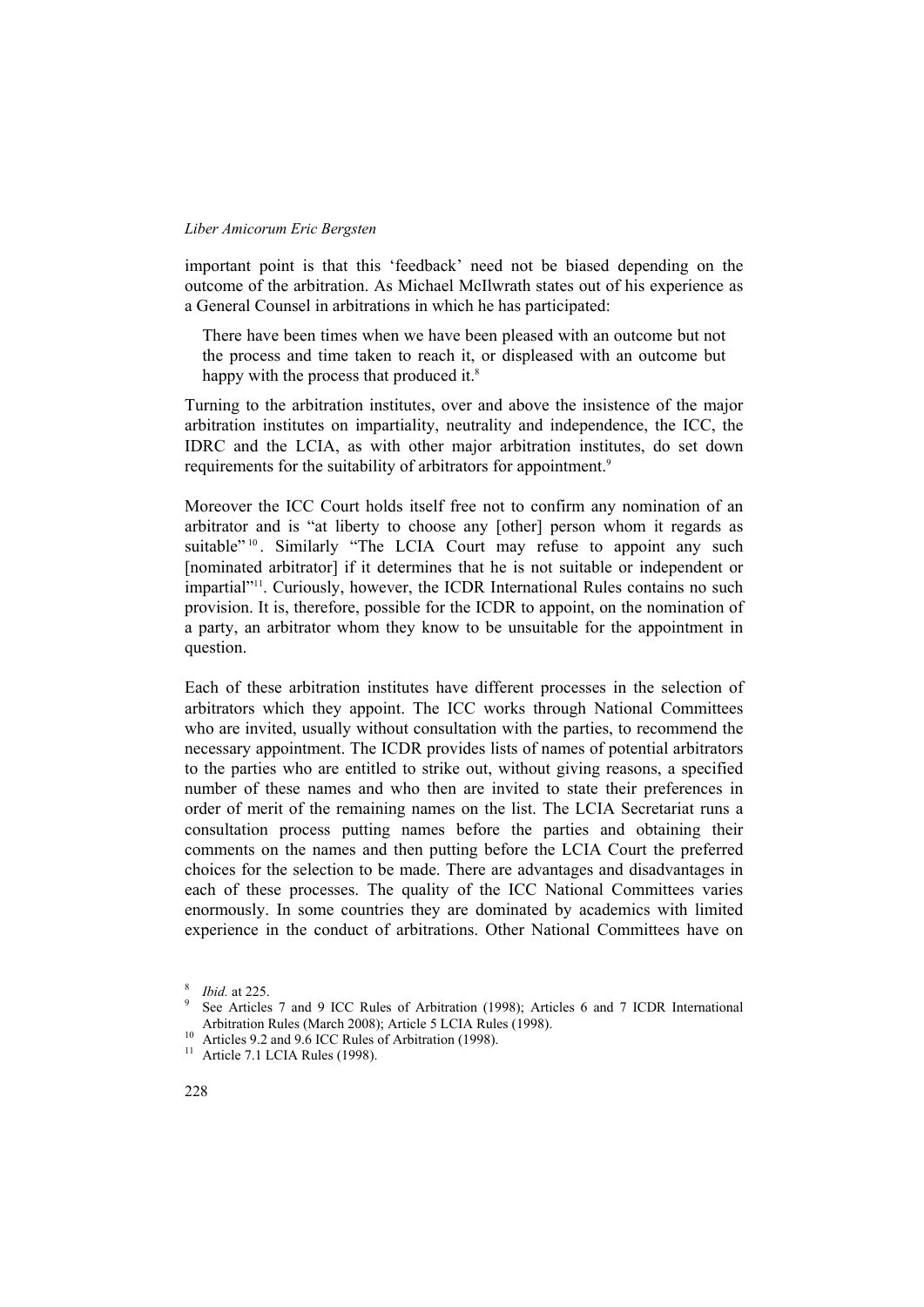important point is that this 'feedback' need not be biased depending on the outcome of the arbitration. As Michael McIlwrath states out of his experience as a General Counsel in arbitrations in which he has participated:

There have been times when we have been pleased with an outcome but not the process and time taken to reach it, or displeased with an outcome but happy with the process that produced it.<sup>8</sup>

Turning to the arbitration institutes, over and above the insistence of the major arbitration institutes on impartiality, neutrality and independence, the ICC, the IDRC and the LCIA, as with other major arbitration institutes, do set down requirements for the suitability of arbitrators for appointment.<sup>9</sup>

Moreover the ICC Court holds itself free not to confirm any nomination of an arbitrator and is "at liberty to choose any [other] person whom it regards as suitable"<sup>10</sup>. Similarly "The LCIA Court may refuse to appoint any such [nominated arbitrator] if it determines that he is not suitable or independent or impartial"11. Curiously, however, the ICDR International Rules contains no such provision. It is, therefore, possible for the ICDR to appoint, on the nomination of a party, an arbitrator whom they know to be unsuitable for the appointment in question.

Each of these arbitration institutes have different processes in the selection of arbitrators which they appoint. The ICC works through National Committees who are invited, usually without consultation with the parties, to recommend the necessary appointment. The ICDR provides lists of names of potential arbitrators to the parties who are entitled to strike out, without giving reasons, a specified number of these names and who then are invited to state their preferences in order of merit of the remaining names on the list. The LCIA Secretariat runs a consultation process putting names before the parties and obtaining their comments on the names and then putting before the LCIA Court the preferred choices for the selection to be made. There are advantages and disadvantages in each of these processes. The quality of the ICC National Committees varies enormously. In some countries they are dominated by academics with limited experience in the conduct of arbitrations. Other National Committees have on

<sup>8</sup> *Ibid.* at 225.

See Articles 7 and 9 ICC Rules of Arbitration (1998); Articles 6 and 7 ICDR International Arbitration Rules (March 2008); Article 5 LCIA Rules (1998). 10 Articles 9.2 and 9.6 ICC Rules of Arbitration (1998).

<sup>&</sup>lt;sup>11</sup> Article 7.1 LCIA Rules (1998).